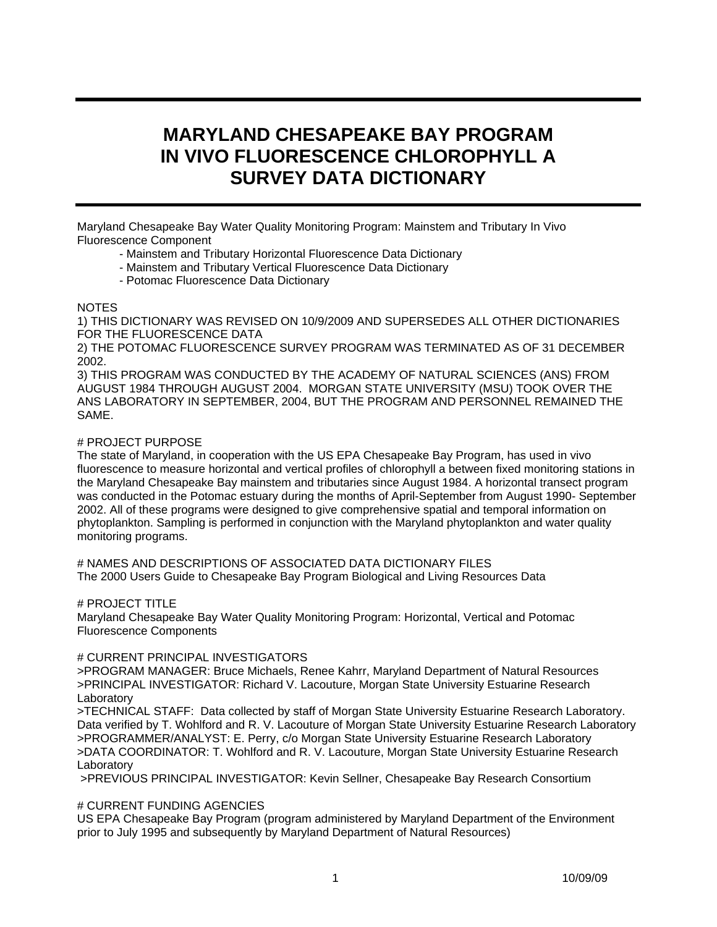# **MARYLAND CHESAPEAKE BAY PROGRAM IN VIVO FLUORESCENCE CHLOROPHYLL A SURVEY DATA DICTIONARY**

Maryland Chesapeake Bay Water Quality Monitoring Program: Mainstem and Tributary In Vivo Fluorescence Component

- Mainstem and Tributary Horizontal Fluorescence Data Dictionary
- Mainstem and Tributary Vertical Fluorescence Data Dictionary
- Potomac Fluorescence Data Dictionary

#### NOTES

1) THIS DICTIONARY WAS REVISED ON 10/9/2009 AND SUPERSEDES ALL OTHER DICTIONARIES FOR THE FLUORESCENCE DATA

2) THE POTOMAC FLUORESCENCE SURVEY PROGRAM WAS TERMINATED AS OF 31 DECEMBER 2002.

3) THIS PROGRAM WAS CONDUCTED BY THE ACADEMY OF NATURAL SCIENCES (ANS) FROM AUGUST 1984 THROUGH AUGUST 2004. MORGAN STATE UNIVERSITY (MSU) TOOK OVER THE ANS LABORATORY IN SEPTEMBER, 2004, BUT THE PROGRAM AND PERSONNEL REMAINED THE SAME.

#### # PROJECT PURPOSE

The state of Maryland, in cooperation with the US EPA Chesapeake Bay Program, has used in vivo fluorescence to measure horizontal and vertical profiles of chlorophyll a between fixed monitoring stations in the Maryland Chesapeake Bay mainstem and tributaries since August 1984. A horizontal transect program was conducted in the Potomac estuary during the months of April-September from August 1990- September 2002. All of these programs were designed to give comprehensive spatial and temporal information on phytoplankton. Sampling is performed in conjunction with the Maryland phytoplankton and water quality monitoring programs.

# NAMES AND DESCRIPTIONS OF ASSOCIATED DATA DICTIONARY FILES The 2000 Users Guide to Chesapeake Bay Program Biological and Living Resources Data

# PROJECT TITLE

Maryland Chesapeake Bay Water Quality Monitoring Program: Horizontal, Vertical and Potomac Fluorescence Components

#### # CURRENT PRINCIPAL INVESTIGATORS

>PROGRAM MANAGER: Bruce Michaels, Renee Kahrr, Maryland Department of Natural Resources >PRINCIPAL INVESTIGATOR: Richard V. Lacouture, Morgan State University Estuarine Research **Laboratory** 

>TECHNICAL STAFF: Data collected by staff of Morgan State University Estuarine Research Laboratory. Data verified by T. Wohlford and R. V. Lacouture of Morgan State University Estuarine Research Laboratory >PROGRAMMER/ANALYST: E. Perry, c/o Morgan State University Estuarine Research Laboratory >DATA COORDINATOR: T. Wohlford and R. V. Lacouture, Morgan State University Estuarine Research **Laboratory** 

>PREVIOUS PRINCIPAL INVESTIGATOR: Kevin Sellner, Chesapeake Bay Research Consortium

## # CURRENT FUNDING AGENCIES

US EPA Chesapeake Bay Program (program administered by Maryland Department of the Environment prior to July 1995 and subsequently by Maryland Department of Natural Resources)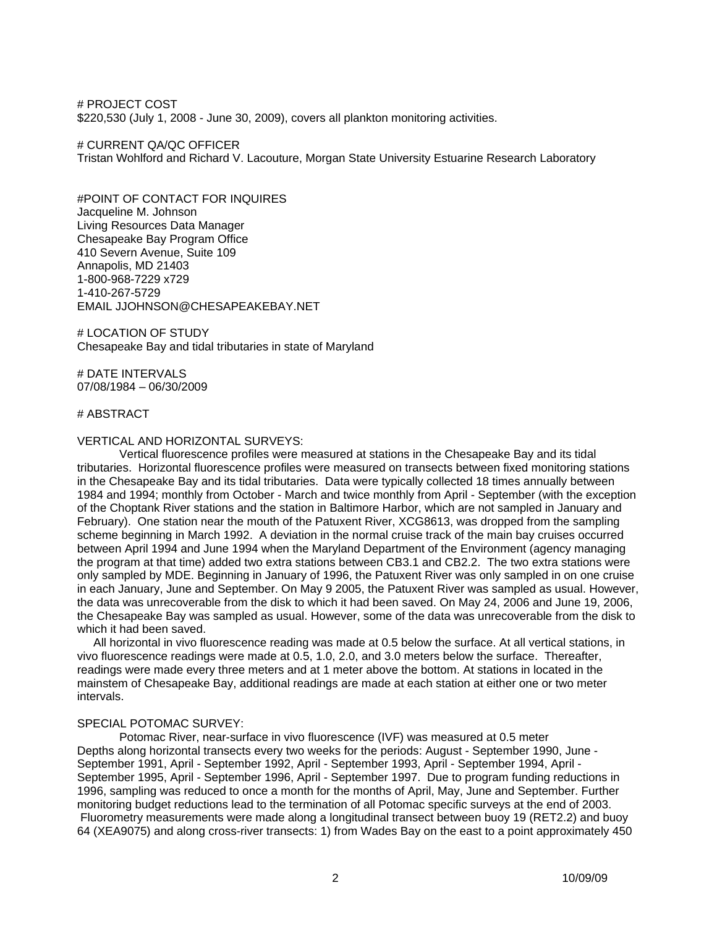# PROJECT COST \$220,530 (July 1, 2008 - June 30, 2009), covers all plankton monitoring activities.

# CURRENT QA/QC OFFICER Tristan Wohlford and Richard V. Lacouture, Morgan State University Estuarine Research Laboratory

#POINT OF CONTACT FOR INQUIRES Jacqueline M. Johnson Living Resources Data Manager Chesapeake Bay Program Office 410 Severn Avenue, Suite 109 Annapolis, MD 21403 1-800-968-7229 x729 1-410-267-5729 EMAIL JJOHNSON@CHESAPEAKEBAY.NET

# LOCATION OF STUDY Chesapeake Bay and tidal tributaries in state of Maryland

# DATE INTERVALS 07/08/1984 – 06/30/2009

#### # ABSTRACT

#### VERTICAL AND HORIZONTAL SURVEYS:

Vertical fluorescence profiles were measured at stations in the Chesapeake Bay and its tidal tributaries. Horizontal fluorescence profiles were measured on transects between fixed monitoring stations in the Chesapeake Bay and its tidal tributaries. Data were typically collected 18 times annually between 1984 and 1994; monthly from October - March and twice monthly from April - September (with the exception of the Choptank River stations and the station in Baltimore Harbor, which are not sampled in January and February). One station near the mouth of the Patuxent River, XCG8613, was dropped from the sampling scheme beginning in March 1992. A deviation in the normal cruise track of the main bay cruises occurred between April 1994 and June 1994 when the Maryland Department of the Environment (agency managing the program at that time) added two extra stations between CB3.1 and CB2.2. The two extra stations were only sampled by MDE. Beginning in January of 1996, the Patuxent River was only sampled in on one cruise in each January, June and September. On May 9 2005, the Patuxent River was sampled as usual. However, the data was unrecoverable from the disk to which it had been saved. On May 24, 2006 and June 19, 2006, the Chesapeake Bay was sampled as usual. However, some of the data was unrecoverable from the disk to which it had been saved.

 All horizontal in vivo fluorescence reading was made at 0.5 below the surface. At all vertical stations, in vivo fluorescence readings were made at 0.5, 1.0, 2.0, and 3.0 meters below the surface. Thereafter, readings were made every three meters and at 1 meter above the bottom. At stations in located in the mainstem of Chesapeake Bay, additional readings are made at each station at either one or two meter intervals.

#### SPECIAL POTOMAC SURVEY:

Potomac River, near-surface in vivo fluorescence (IVF) was measured at 0.5 meter Depths along horizontal transects every two weeks for the periods: August - September 1990, June - September 1991, April - September 1992, April - September 1993, April - September 1994, April - September 1995, April - September 1996, April - September 1997. Due to program funding reductions in 1996, sampling was reduced to once a month for the months of April, May, June and September. Further monitoring budget reductions lead to the termination of all Potomac specific surveys at the end of 2003. Fluorometry measurements were made along a longitudinal transect between buoy 19 (RET2.2) and buoy 64 (XEA9075) and along cross-river transects: 1) from Wades Bay on the east to a point approximately 450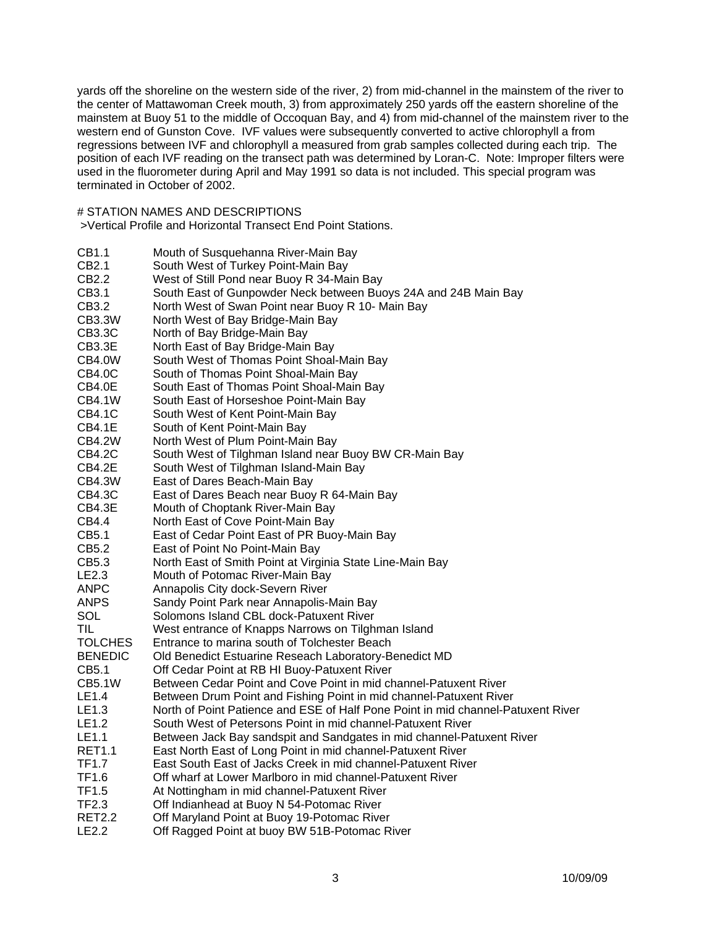yards off the shoreline on the western side of the river, 2) from mid-channel in the mainstem of the river to the center of Mattawoman Creek mouth, 3) from approximately 250 yards off the eastern shoreline of the mainstem at Buoy 51 to the middle of Occoquan Bay, and 4) from mid-channel of the mainstem river to the western end of Gunston Cove. IVF values were subsequently converted to active chlorophyll a from regressions between IVF and chlorophyll a measured from grab samples collected during each trip. The position of each IVF reading on the transect path was determined by Loran-C. Note: Improper filters were used in the fluorometer during April and May 1991 so data is not included. This special program was terminated in October of 2002.

## # STATION NAMES AND DESCRIPTIONS

>Vertical Profile and Horizontal Transect End Point Stations.

- CB1.1 Mouth of Susquehanna River-Main Bay
- CB2.1 South West of Turkey Point-Main Bay
- CB2.2 West of Still Pond near Buoy R 34-Main Bay
- CB3.1 South East of Gunpowder Neck between Buoys 24A and 24B Main Bay
- CB3.2 North West of Swan Point near Buoy R 10- Main Bay
- CB3.3W North West of Bay Bridge-Main Bay
- CB3.3C North of Bay Bridge-Main Bay
- CB3.3E North East of Bay Bridge-Main Bay<br>CB4.0W South West of Thomas Point Shoal-
- South West of Thomas Point Shoal-Main Bay
- CB4.0C South of Thomas Point Shoal-Main Bay
- CB4.0E South East of Thomas Point Shoal-Main Bay<br>CB4.1W South East of Horseshoe Point-Main Bav
- South East of Horseshoe Point-Main Bay
- CB4.1C South West of Kent Point-Main Bay
- CB4.1E South of Kent Point-Main Bay
- CB4.2W North West of Plum Point-Main Bay
- CB4.2C South West of Tilghman Island near Buoy BW CR-Main Bay
- CB4.2E South West of Tilghman Island-Main Bay
- CB4.3W East of Dares Beach-Main Bay
- CB4.3C East of Dares Beach near Buoy R 64-Main Bay
- CB4.3E Mouth of Choptank River-Main Bay
- CB4.4 North East of Cove Point-Main Bay
- CB5.1 East of Cedar Point East of PR Buoy-Main Bay
- CB5.2 East of Point No Point-Main Bay
- CB5.3 North East of Smith Point at Virginia State Line-Main Bay
- LE2.3 Mouth of Potomac River-Main Bay
- ANPC Annapolis City dock-Severn River
- ANPS Sandy Point Park near Annapolis-Main Bay
- SOL Solomons Island CBL dock-Patuxent River
- TIL West entrance of Knapps Narrows on Tilghman Island
- TOLCHES Entrance to marina south of Tolchester Beach
- BENEDIC Old Benedict Estuarine Reseach Laboratory-Benedict MD
- CB5.1 Off Cedar Point at RB HI Buoy-Patuxent River
- CB5.1W Between Cedar Point and Cove Point in mid channel-Patuxent River
- LE1.4 Between Drum Point and Fishing Point in mid channel-Patuxent River
- LE1.3 North of Point Patience and ESE of Half Pone Point in mid channel-Patuxent River
- LE1.2 South West of Petersons Point in mid channel-Patuxent River
- LE1.1 Between Jack Bay sandspit and Sandgates in mid channel-Patuxent River
- RET1.1 East North East of Long Point in mid channel-Patuxent River
- TF1.7 East South East of Jacks Creek in mid channel-Patuxent River
- TF1.6 Off wharf at Lower Marlboro in mid channel-Patuxent River
- TF1.5 At Nottingham in mid channel-Patuxent River
- TF2.3 Off Indianhead at Buoy N 54-Potomac River
- Off Maryland Point at Buoy 19-Potomac River
- LE2.2 Off Ragged Point at buoy BW 51B-Potomac River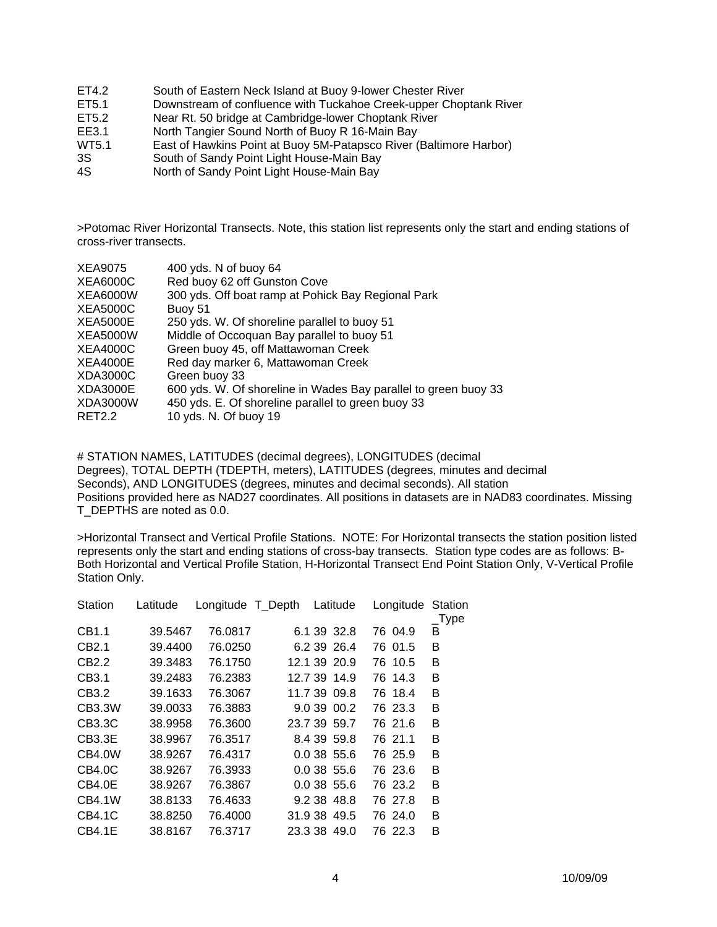- ET4.2 South of Eastern Neck Island at Buoy 9-lower Chester River
- ET5.1 Downstream of confluence with Tuckahoe Creek-upper Choptank River
- ET5.2 Near Rt. 50 bridge at Cambridge-lower Choptank River
- EE3.1 North Tangier Sound North of Buoy R 16-Main Bay
- WT5.1 East of Hawkins Point at Buoy 5M-Patapsco River (Baltimore Harbor)
- 3S South of Sandy Point Light House-Main Bay
- 4S North of Sandy Point Light House-Main Bay

>Potomac River Horizontal Transects. Note, this station list represents only the start and ending stations of cross-river transects.

| 400 yds. N of buoy 64                                           |
|-----------------------------------------------------------------|
| Red buoy 62 off Gunston Cove                                    |
| 300 yds. Off boat ramp at Pohick Bay Regional Park              |
| Buoy 51                                                         |
| 250 yds. W. Of shoreline parallel to buoy 51                    |
| Middle of Occoquan Bay parallel to buoy 51                      |
| Green buoy 45, off Mattawoman Creek                             |
| Red day marker 6, Mattawoman Creek                              |
| Green buoy 33                                                   |
| 600 yds. W. Of shoreline in Wades Bay parallel to green buoy 33 |
| 450 yds. E. Of shoreline parallel to green buoy 33              |
| 10 yds. N. Of buoy 19                                           |
|                                                                 |

# STATION NAMES, LATITUDES (decimal degrees), LONGITUDES (decimal Degrees), TOTAL DEPTH (TDEPTH, meters), LATITUDES (degrees, minutes and decimal Seconds), AND LONGITUDES (degrees, minutes and decimal seconds). All station Positions provided here as NAD27 coordinates. All positions in datasets are in NAD83 coordinates. Missing T\_DEPTHS are noted as 0.0.

>Horizontal Transect and Vertical Profile Stations. NOTE: For Horizontal transects the station position listed represents only the start and ending stations of cross-bay transects. Station type codes are as follows: B-Both Horizontal and Vertical Profile Station, H-Horizontal Transect End Point Station Only, V-Vertical Profile Station Only.

| Station           | Latitude | Longitude T_Depth |  | Latitude     | Longitude | Station<br>$\_Type$ |
|-------------------|----------|-------------------|--|--------------|-----------|---------------------|
| CB1.1             | 39.5467  | 76.0817           |  | 6.1 39 32.8  | 76 04.9   | B                   |
| CB <sub>2.1</sub> | 39.4400  | 76.0250           |  | 6.2 39 26.4  | 76 01.5   | B                   |
| CB <sub>2.2</sub> | 39.3483  | 76.1750           |  | 12.1 39 20.9 | 76 10.5   | B                   |
| CB3.1             | 39.2483  | 76.2383           |  | 12.7 39 14.9 | 76 14.3   | B                   |
| CB3.2             | 39.1633  | 76.3067           |  | 11.7 39 09.8 | 76 18.4   | B                   |
| CB3.3W            | 39.0033  | 76.3883           |  | 9.0 39 00.2  | 76 23.3   | B                   |
| CB3.3C            | 38.9958  | 76.3600           |  | 23.7 39 59.7 | 76 21.6   | B                   |
| CB3.3E            | 38.9967  | 76.3517           |  | 8.4 39 59.8  | 76 21.1   | B                   |
| CB4.0W            | 38.9267  | 76.4317           |  | 0.0 38 55.6  | 76 25.9   | B                   |
| CB4.0C            | 38.9267  | 76.3933           |  | 0.0 38 55.6  | 76 23.6   | B                   |
| CB4.0E            | 38.9267  | 76.3867           |  | 0.03855.6    | 76 23.2   | в                   |
| CB4.1W            | 38.8133  | 76.4633           |  | 9.2 38 48.8  | 76 27.8   | B                   |
| CB4.1C            | 38.8250  | 76.4000           |  | 31.9 38 49.5 | 76 24.0   | B                   |
| CB4.1E            | 38.8167  | 76.3717           |  | 23.3 38 49.0 | 76 22.3   | в                   |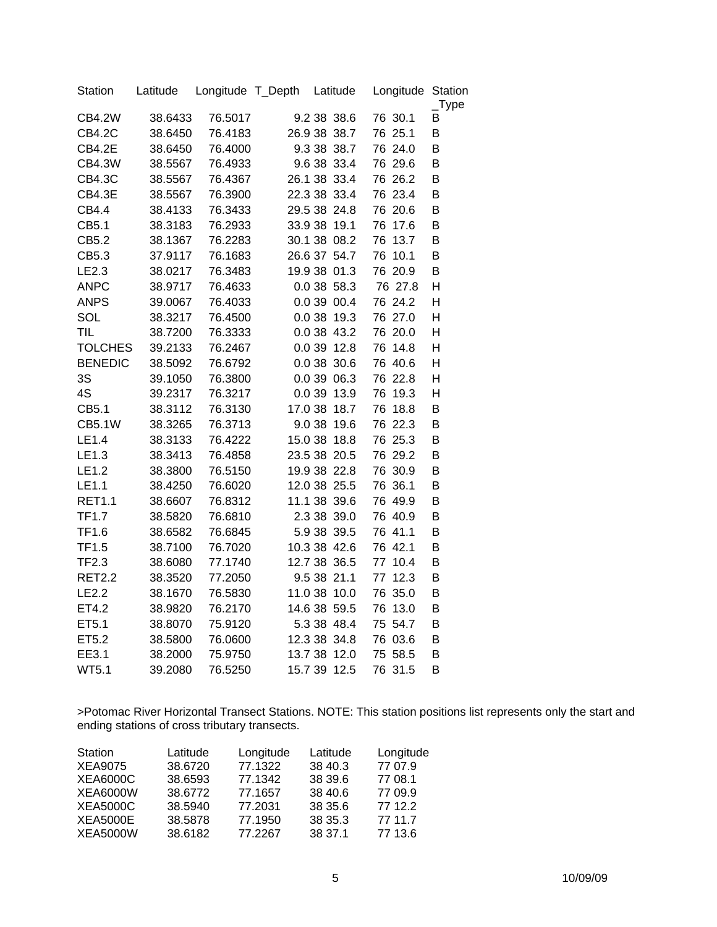| Station        | Latitude | Longitude T_Depth |        | Latitude     |    | Longitude | Station<br>$_{\_}$ Type |
|----------------|----------|-------------------|--------|--------------|----|-----------|-------------------------|
| <b>CB4.2W</b>  | 38.6433  | 76.5017           |        | 9.2 38 38.6  |    | 76 30.1   | B                       |
| <b>CB4.2C</b>  | 38.6450  | 76.4183           |        | 26.9 38 38.7 |    | 76 25.1   | B                       |
| <b>CB4.2E</b>  | 38.6450  | 76.4000           |        | 9.3 38 38.7  |    | 76 24.0   | B                       |
| <b>CB4.3W</b>  | 38.5567  | 76.4933           |        | 9.6 38 33.4  |    | 76 29.6   | B                       |
| <b>CB4.3C</b>  | 38.5567  | 76.4367           |        | 26.1 38 33.4 |    | 76 26.2   | B                       |
| <b>CB4.3E</b>  | 38.5567  | 76.3900           |        | 22.3 38 33.4 |    | 76 23.4   | B                       |
| CB4.4          | 38.4133  | 76.3433           |        | 29.5 38 24.8 |    | 76 20.6   | B                       |
| CB5.1          | 38.3183  | 76.2933           |        | 33.9 38 19.1 |    | 76 17.6   | B                       |
| CB5.2          | 38.1367  | 76.2283           |        | 30.1 38 08.2 | 76 | 13.7      | B                       |
| CB5.3          | 37.9117  | 76.1683           |        | 26.6 37 54.7 | 76 | 10.1      | B                       |
| LE2.3          | 38.0217  | 76.3483           |        | 19.9 38 01.3 |    | 76 20.9   | B                       |
| <b>ANPC</b>    | 38.9717  | 76.4633           |        | 0.0 38 58.3  |    | 76 27.8   | н                       |
| <b>ANPS</b>    | 39.0067  | 76.4033           |        | 0.0 39 00.4  |    | 76 24.2   | Η                       |
| SOL            | 38.3217  | 76.4500           | 0.0 38 | 19.3         |    | 76 27.0   | Η                       |
| <b>TIL</b>     | 38.7200  | 76.3333           |        | 0.0 38 43.2  |    | 76 20.0   | Η                       |
| <b>TOLCHES</b> | 39.2133  | 76.2467           | 0.0 39 | 12.8         | 76 | 14.8      | H                       |
| <b>BENEDIC</b> | 38.5092  | 76.6792           |        | 0.0 38 30.6  |    | 76 40.6   | H                       |
| 3S             | 39.1050  | 76.3800           |        | 0.0 39 06.3  |    | 76 22.8   | H                       |
| 4S             | 39.2317  | 76.3217           | 0.0 39 | 13.9         | 76 | 19.3      | Н                       |
| CB5.1          | 38.3112  | 76.3130           |        | 17.0 38 18.7 | 76 | 18.8      | B                       |
| <b>CB5.1W</b>  | 38.3265  | 76.3713           |        | 9.0 38 19.6  |    | 76 22.3   | B                       |
| LE1.4          | 38.3133  | 76.4222           |        | 15.0 38 18.8 |    | 76 25.3   | B                       |
| LE1.3          | 38.3413  | 76.4858           |        | 23.5 38 20.5 |    | 76 29.2   | B                       |
| LE1.2          | 38.3800  | 76.5150           |        | 19.9 38 22.8 |    | 76 30.9   | B                       |
| LE1.1          | 38.4250  | 76.6020           |        | 12.0 38 25.5 |    | 76 36.1   | B                       |
| <b>RET1.1</b>  | 38.6607  | 76.8312           |        | 11.1 38 39.6 |    | 76 49.9   | B                       |
| <b>TF1.7</b>   | 38.5820  | 76.6810           |        | 2.3 38 39.0  |    | 76 40.9   | B                       |
| <b>TF1.6</b>   | 38.6582  | 76.6845           |        | 5.9 38 39.5  |    | 76 41.1   | B                       |
| <b>TF1.5</b>   | 38.7100  | 76.7020           |        | 10.3 38 42.6 |    | 76 42.1   | B                       |
| <b>TF2.3</b>   | 38.6080  | 77.1740           |        | 12.7 38 36.5 | 77 | 10.4      | B                       |
| <b>RET2.2</b>  | 38.3520  | 77.2050           |        | 9.5 38 21.1  | 77 | 12.3      | B                       |
| LE2.2          | 38.1670  | 76.5830           |        | 11.0 38 10.0 | 76 | 35.0      | B                       |
| ET4.2          | 38.9820  | 76.2170           |        | 14.6 38 59.5 | 76 | 13.0      | B                       |
| ET5.1          | 38.8070  | 75.9120           |        | 5.3 38 48.4  |    | 75 54.7   | B                       |
| ET5.2          | 38.5800  | 76.0600           |        | 12.3 38 34.8 |    | 76 03.6   | B                       |
| EE3.1          | 38.2000  | 75.9750           |        | 13.7 38 12.0 |    | 75 58.5   | B                       |
| <b>WT5.1</b>   | 39.2080  | 76.5250           |        | 15.7 39 12.5 |    | 76 31.5   | B                       |

>Potomac River Horizontal Transect Stations. NOTE: This station positions list represents only the start and ending stations of cross tributary transects.

| Station         | Latitude | Longitude | Latitude | Longitude |
|-----------------|----------|-----------|----------|-----------|
| <b>XEA9075</b>  | 38.6720  | 77.1322   | 38 40.3  | 77 07.9   |
| <b>XEA6000C</b> | 38.6593  | 77.1342   | 38 39.6  | 77 08.1   |
| <b>XEA6000W</b> | 38.6772  | 77.1657   | 38 40.6  | 77 09.9   |
| <b>XEA5000C</b> | 38.5940  | 77.2031   | 38 35.6  | 77 12.2   |
| <b>XEA5000E</b> | 38.5878  | 77.1950   | 38 35.3  | 77 11.7   |
| <b>XEA5000W</b> | 38.6182  | 77.2267   | 38 37.1  | 77 13.6   |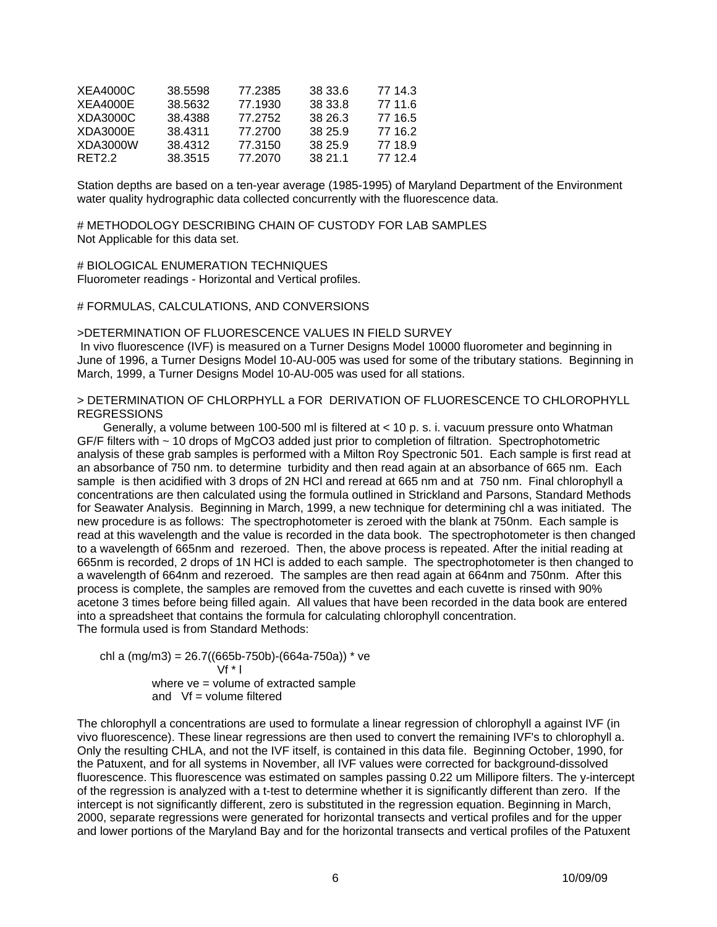| <b>XEA4000C</b>  | 38.5598 | 77.2385 | 38 33.6 | 77 14.3 |
|------------------|---------|---------|---------|---------|
| XEA4000E         | 38.5632 | 77.1930 | 38 33.8 | 77 11.6 |
| XDA3000C         | 38.4388 | 77.2752 | 38 26.3 | 77 16.5 |
| XDA3000E         | 38.4311 | 77.2700 | 38 25 9 | 77 16.2 |
| XDA3000W         | 38.4312 | 77.3150 | 38 25.9 | 77 18.9 |
| RFT <sub>2</sub> | 38.3515 | 77.2070 | 38 21 1 | 77 12 4 |

Station depths are based on a ten-year average (1985-1995) of Maryland Department of the Environment water quality hydrographic data collected concurrently with the fluorescence data.

# METHODOLOGY DESCRIBING CHAIN OF CUSTODY FOR LAB SAMPLES Not Applicable for this data set.

# BIOLOGICAL ENUMERATION TECHNIQUES Fluorometer readings - Horizontal and Vertical profiles.

#### # FORMULAS, CALCULATIONS, AND CONVERSIONS

#### >DETERMINATION OF FLUORESCENCE VALUES IN FIELD SURVEY

 In vivo fluorescence (IVF) is measured on a Turner Designs Model 10000 fluorometer and beginning in June of 1996, a Turner Designs Model 10-AU-005 was used for some of the tributary stations. Beginning in March, 1999, a Turner Designs Model 10-AU-005 was used for all stations.

#### > DETERMINATION OF CHLORPHYLL a FOR DERIVATION OF FLUORESCENCE TO CHLOROPHYLL REGRESSIONS

 Generally, a volume between 100-500 ml is filtered at < 10 p. s. i. vacuum pressure onto Whatman GF/F filters with ~ 10 drops of MgCO3 added just prior to completion of filtration. Spectrophotometric analysis of these grab samples is performed with a Milton Roy Spectronic 501. Each sample is first read at an absorbance of 750 nm. to determine turbidity and then read again at an absorbance of 665 nm. Each sample is then acidified with 3 drops of 2N HCl and reread at 665 nm and at 750 nm. Final chlorophyll a concentrations are then calculated using the formula outlined in Strickland and Parsons, Standard Methods for Seawater Analysis. Beginning in March, 1999, a new technique for determining chl a was initiated. The new procedure is as follows: The spectrophotometer is zeroed with the blank at 750nm. Each sample is read at this wavelength and the value is recorded in the data book. The spectrophotometer is then changed to a wavelength of 665nm and rezeroed. Then, the above process is repeated. After the initial reading at 665nm is recorded, 2 drops of 1N HCl is added to each sample. The spectrophotometer is then changed to a wavelength of 664nm and rezeroed. The samples are then read again at 664nm and 750nm. After this process is complete, the samples are removed from the cuvettes and each cuvette is rinsed with 90% acetone 3 times before being filled again. All values that have been recorded in the data book are entered into a spreadsheet that contains the formula for calculating chlorophyll concentration. The formula used is from Standard Methods:

chl a  $(mg/m3) = 26.7((665b-750b)-(664a-750a))$  \* ve  $Vf * I$  where ve = volume of extracted sample and  $Vf = volume filtered$ 

The chlorophyll a concentrations are used to formulate a linear regression of chlorophyll a against IVF (in vivo fluorescence). These linear regressions are then used to convert the remaining IVF's to chlorophyll a. Only the resulting CHLA, and not the IVF itself, is contained in this data file. Beginning October, 1990, for the Patuxent, and for all systems in November, all IVF values were corrected for background-dissolved fluorescence. This fluorescence was estimated on samples passing 0.22 um Millipore filters. The y-intercept of the regression is analyzed with a t-test to determine whether it is significantly different than zero. If the intercept is not significantly different, zero is substituted in the regression equation. Beginning in March, 2000, separate regressions were generated for horizontal transects and vertical profiles and for the upper and lower portions of the Maryland Bay and for the horizontal transects and vertical profiles of the Patuxent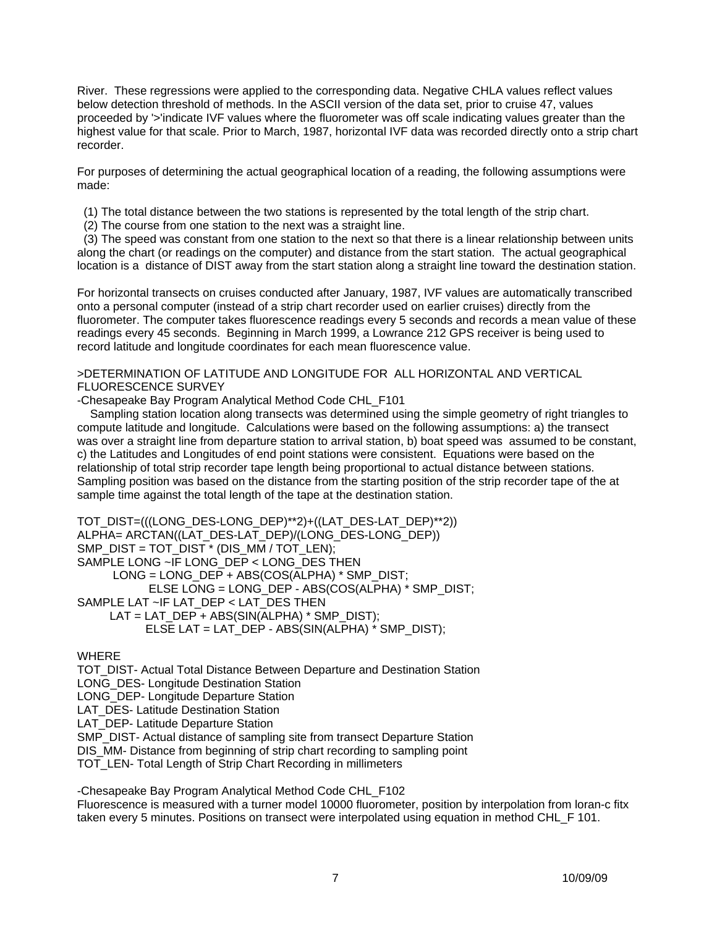River. These regressions were applied to the corresponding data. Negative CHLA values reflect values below detection threshold of methods. In the ASCII version of the data set, prior to cruise 47, values proceeded by '>'indicate IVF values where the fluorometer was off scale indicating values greater than the highest value for that scale. Prior to March, 1987, horizontal IVF data was recorded directly onto a strip chart recorder.

For purposes of determining the actual geographical location of a reading, the following assumptions were made:

(1) The total distance between the two stations is represented by the total length of the strip chart.

(2) The course from one station to the next was a straight line.

 (3) The speed was constant from one station to the next so that there is a linear relationship between units along the chart (or readings on the computer) and distance from the start station. The actual geographical location is a distance of DIST away from the start station along a straight line toward the destination station.

For horizontal transects on cruises conducted after January, 1987, IVF values are automatically transcribed onto a personal computer (instead of a strip chart recorder used on earlier cruises) directly from the fluorometer. The computer takes fluorescence readings every 5 seconds and records a mean value of these readings every 45 seconds. Beginning in March 1999, a Lowrance 212 GPS receiver is being used to record latitude and longitude coordinates for each mean fluorescence value.

>DETERMINATION OF LATITUDE AND LONGITUDE FOR ALL HORIZONTAL AND VERTICAL FLUORESCENCE SURVEY

-Chesapeake Bay Program Analytical Method Code CHL\_F101

Sampling station location along transects was determined using the simple geometry of right triangles to compute latitude and longitude. Calculations were based on the following assumptions: a) the transect was over a straight line from departure station to arrival station, b) boat speed was assumed to be constant, c) the Latitudes and Longitudes of end point stations were consistent. Equations were based on the relationship of total strip recorder tape length being proportional to actual distance between stations. Sampling position was based on the distance from the starting position of the strip recorder tape of the at sample time against the total length of the tape at the destination station.

```
TOT_DIST=(((LONG_DES-LONG_DEP)**2)+((LAT_DES-LAT_DEP)**2))
ALPHA= ARCTAN((LAT_DES-LAT_DEP)/(LONG_DES-LONG_DEP)) 
SMP_DIST = TOT_DIST * (DIS_MM / TOT_LEN);
SAMPLE LONG ~IF LONG_DEP < LONG_DES THEN 
      LONG = LONG_DEP + ABS(COS(ALPHA) * SMP_DIST; 
            ELSE LONG = LONG_DEP - ABS(COS(ALPHA) * SMP_DIST; 
SAMPLE LAT ~IF LAT_DEP < LAT_DES THEN
      LAT = LAT_DEP + ABS(SIN(ALPHA) * SMP_DIST); 
           ELSE LAT = LAT_DEP - ABS(SIN(ALPHA) * SMP_DIST);
```
## WHERE

TOT\_DIST- Actual Total Distance Between Departure and Destination Station

LONG\_DES- Longitude Destination Station

LONG DEP- Longitude Departure Station

LAT DES- Latitude Destination Station

LAT DEP- Latitude Departure Station

SMP\_DIST- Actual distance of sampling site from transect Departure Station

DIS\_MM- Distance from beginning of strip chart recording to sampling point

TOT\_LEN- Total Length of Strip Chart Recording in millimeters

-Chesapeake Bay Program Analytical Method Code CHL\_F102

Fluorescence is measured with a turner model 10000 fluorometer, position by interpolation from loran-c fitx taken every 5 minutes. Positions on transect were interpolated using equation in method CHL\_F 101.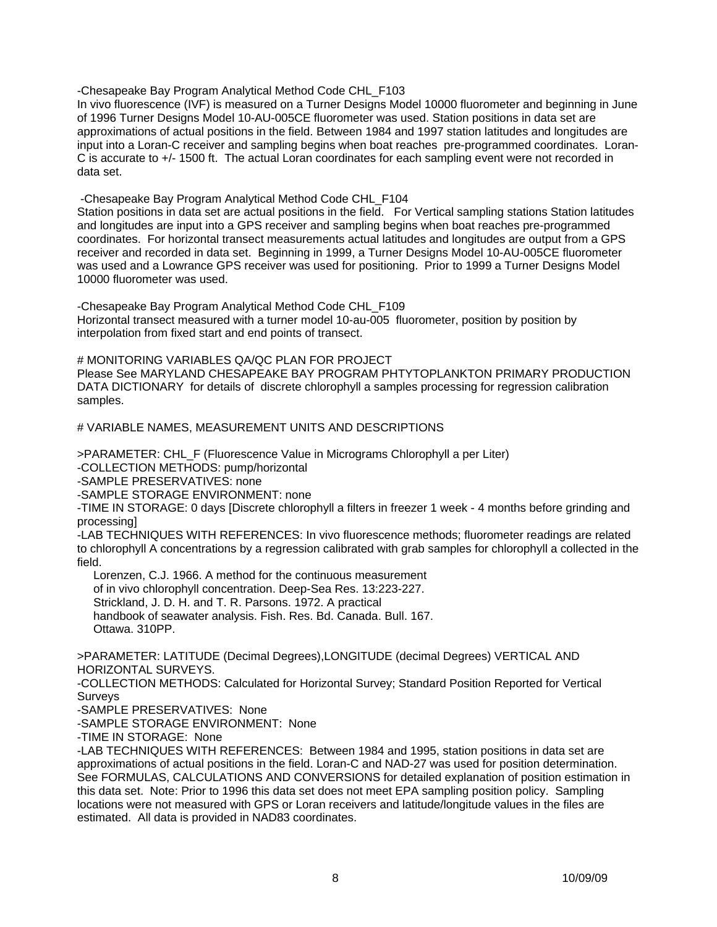-Chesapeake Bay Program Analytical Method Code CHL\_F103

In vivo fluorescence (IVF) is measured on a Turner Designs Model 10000 fluorometer and beginning in June of 1996 Turner Designs Model 10-AU-005CE fluorometer was used. Station positions in data set are approximations of actual positions in the field. Between 1984 and 1997 station latitudes and longitudes are input into a Loran-C receiver and sampling begins when boat reaches pre-programmed coordinates. Loran-C is accurate to +/- 1500 ft. The actual Loran coordinates for each sampling event were not recorded in data set.

-Chesapeake Bay Program Analytical Method Code CHL\_F104

Station positions in data set are actual positions in the field. For Vertical sampling stations Station latitudes and longitudes are input into a GPS receiver and sampling begins when boat reaches pre-programmed coordinates. For horizontal transect measurements actual latitudes and longitudes are output from a GPS receiver and recorded in data set. Beginning in 1999, a Turner Designs Model 10-AU-005CE fluorometer was used and a Lowrance GPS receiver was used for positioning. Prior to 1999 a Turner Designs Model 10000 fluorometer was used.

-Chesapeake Bay Program Analytical Method Code CHL\_F109 Horizontal transect measured with a turner model 10-au-005 fluorometer, position by position by interpolation from fixed start and end points of transect.

# MONITORING VARIABLES QA/QC PLAN FOR PROJECT

Please See MARYLAND CHESAPEAKE BAY PROGRAM PHTYTOPLANKTON PRIMARY PRODUCTION DATA DICTIONARY for details of discrete chlorophyll a samples processing for regression calibration samples.

# VARIABLE NAMES, MEASUREMENT UNITS AND DESCRIPTIONS

>PARAMETER: CHL\_F (Fluorescence Value in Micrograms Chlorophyll a per Liter)

-COLLECTION METHODS: pump/horizontal

-SAMPLE PRESERVATIVES: none

-SAMPLE STORAGE ENVIRONMENT: none

-TIME IN STORAGE: 0 days [Discrete chlorophyll a filters in freezer 1 week - 4 months before grinding and processing]

-LAB TECHNIQUES WITH REFERENCES: In vivo fluorescence methods; fluorometer readings are related to chlorophyll A concentrations by a regression calibrated with grab samples for chlorophyll a collected in the field.

 Lorenzen, C.J. 1966. A method for the continuous measurement of in vivo chlorophyll concentration. Deep-Sea Res. 13:223-227. Strickland, J. D. H. and T. R. Parsons. 1972. A practical handbook of seawater analysis. Fish. Res. Bd. Canada. Bull. 167. Ottawa. 310PP.

>PARAMETER: LATITUDE (Decimal Degrees),LONGITUDE (decimal Degrees) VERTICAL AND HORIZONTAL SURVEYS.

-COLLECTION METHODS: Calculated for Horizontal Survey; Standard Position Reported for Vertical Surveys

-SAMPLE PRESERVATIVES: None

-SAMPLE STORAGE ENVIRONMENT: None

-TIME IN STORAGE: None

-LAB TECHNIQUES WITH REFERENCES: Between 1984 and 1995, station positions in data set are approximations of actual positions in the field. Loran-C and NAD-27 was used for position determination. See FORMULAS, CALCULATIONS AND CONVERSIONS for detailed explanation of position estimation in this data set. Note: Prior to 1996 this data set does not meet EPA sampling position policy. Sampling locations were not measured with GPS or Loran receivers and latitude/longitude values in the files are estimated. All data is provided in NAD83 coordinates.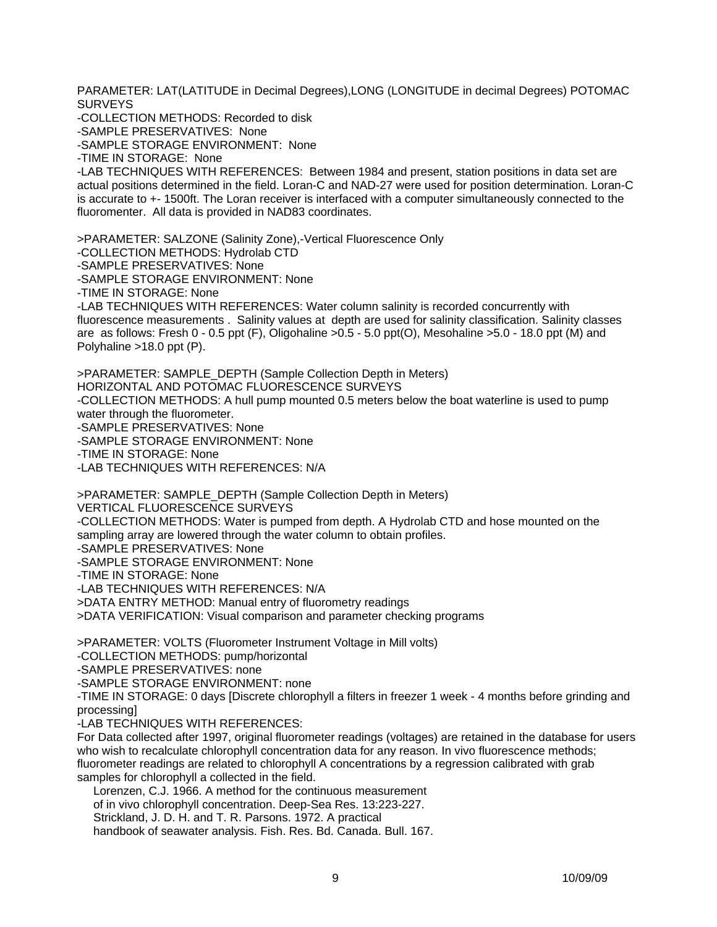PARAMETER: LAT(LATITUDE in Decimal Degrees),LONG (LONGITUDE in decimal Degrees) POTOMAC SURVEYS

-COLLECTION METHODS: Recorded to disk

-SAMPLE PRESERVATIVES: None

-SAMPLE STORAGE ENVIRONMENT: None

-TIME IN STORAGE: None

-LAB TECHNIQUES WITH REFERENCES: Between 1984 and present, station positions in data set are actual positions determined in the field. Loran-C and NAD-27 were used for position determination. Loran-C is accurate to +- 1500ft. The Loran receiver is interfaced with a computer simultaneously connected to the fluoromenter. All data is provided in NAD83 coordinates.

>PARAMETER: SALZONE (Salinity Zone),-Vertical Fluorescence Only

-COLLECTION METHODS: Hydrolab CTD

-SAMPLE PRESERVATIVES: None

-SAMPLE STORAGE ENVIRONMENT: None

-TIME IN STORAGE: None

-LAB TECHNIQUES WITH REFERENCES: Water column salinity is recorded concurrently with fluorescence measurements . Salinity values at depth are used for salinity classification. Salinity classes are as follows: Fresh 0 - 0.5 ppt (F), Oligohaline >0.5 - 5.0 ppt(O), Mesohaline >5.0 - 18.0 ppt (M) and Polyhaline >18.0 ppt (P).

>PARAMETER: SAMPLE\_DEPTH (Sample Collection Depth in Meters) HORIZONTAL AND POTOMAC FLUORESCENCE SURVEYS -COLLECTION METHODS: A hull pump mounted 0.5 meters below the boat waterline is used to pump water through the fluorometer. -SAMPLE PRESERVATIVES: None -SAMPLE STORAGE ENVIRONMENT: None -TIME IN STORAGE: None -LAB TECHNIQUES WITH REFERENCES: N/A

>PARAMETER: SAMPLE\_DEPTH (Sample Collection Depth in Meters) VERTICAL FLUORESCENCE SURVEYS -COLLECTION METHODS: Water is pumped from depth. A Hydrolab CTD and hose mounted on the sampling array are lowered through the water column to obtain profiles. -SAMPLE PRESERVATIVES: None -SAMPLE STORAGE ENVIRONMENT: None -TIME IN STORAGE: None -LAB TECHNIQUES WITH REFERENCES: N/A >DATA ENTRY METHOD: Manual entry of fluorometry readings >DATA VERIFICATION: Visual comparison and parameter checking programs

>PARAMETER: VOLTS (Fluorometer Instrument Voltage in Mill volts) -COLLECTION METHODS: pump/horizontal -SAMPLE PRESERVATIVES: none -SAMPLE STORAGE ENVIRONMENT: none -TIME IN STORAGE: 0 days [Discrete chlorophyll a filters in freezer 1 week - 4 months before grinding and

processing]

-LAB TECHNIQUES WITH REFERENCES:

For Data collected after 1997, original fluorometer readings (voltages) are retained in the database for users who wish to recalculate chlorophyll concentration data for any reason. In vivo fluorescence methods; fluorometer readings are related to chlorophyll A concentrations by a regression calibrated with grab samples for chlorophyll a collected in the field.

 Lorenzen, C.J. 1966. A method for the continuous measurement of in vivo chlorophyll concentration. Deep-Sea Res. 13:223-227. Strickland, J. D. H. and T. R. Parsons. 1972. A practical handbook of seawater analysis. Fish. Res. Bd. Canada. Bull. 167.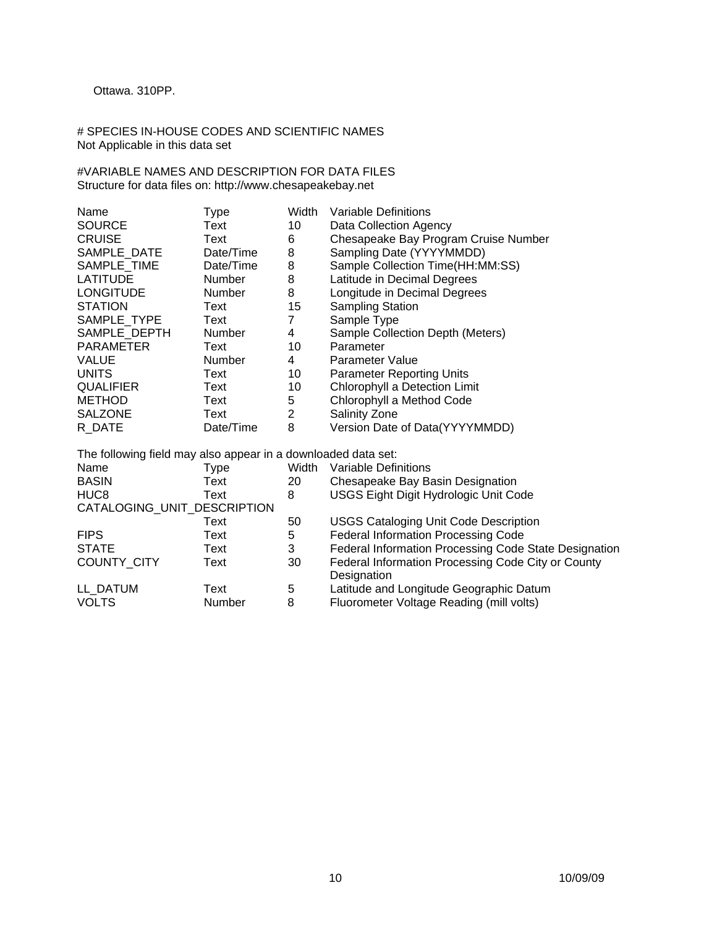## Ottawa. 310PP.

# SPECIES IN-HOUSE CODES AND SCIENTIFIC NAMES Not Applicable in this data set

#VARIABLE NAMES AND DESCRIPTION FOR DATA FILES Structure for data files on: http://www.chesapeakebay.net

| Name                                                          | Type          | Width | <b>Variable Definitions</b>           |  |  |
|---------------------------------------------------------------|---------------|-------|---------------------------------------|--|--|
| <b>SOURCE</b>                                                 | Text          | 10    | Data Collection Agency                |  |  |
| <b>CRUISE</b>                                                 | Text          | 6     | Chesapeake Bay Program Cruise Number  |  |  |
| SAMPLE DATE                                                   | Date/Time     | 8     | Sampling Date (YYYYMMDD)              |  |  |
| SAMPLE TIME                                                   | Date/Time     | 8     | Sample Collection Time(HH:MM:SS)      |  |  |
| <b>LATITUDE</b>                                               | <b>Number</b> | 8     | Latitude in Decimal Degrees           |  |  |
| <b>LONGITUDE</b>                                              | <b>Number</b> | 8     | Longitude in Decimal Degrees          |  |  |
| <b>STATION</b>                                                | Text          | 15    | <b>Sampling Station</b>               |  |  |
| SAMPLE TYPE                                                   | Text          | 7     | Sample Type                           |  |  |
| SAMPLE DEPTH                                                  | <b>Number</b> | 4     | Sample Collection Depth (Meters)      |  |  |
| <b>PARAMETER</b>                                              | Text          | 10    | Parameter                             |  |  |
| <b>VALUE</b>                                                  | <b>Number</b> | 4     | Parameter Value                       |  |  |
| <b>UNITS</b>                                                  | Text          | 10    | <b>Parameter Reporting Units</b>      |  |  |
| <b>QUALIFIER</b>                                              | Text          | 10    | Chlorophyll a Detection Limit         |  |  |
| <b>METHOD</b>                                                 | Text          | 5     | Chlorophyll a Method Code             |  |  |
| <b>SALZONE</b>                                                | Text          | 2     | Salinity Zone                         |  |  |
| R DATE                                                        | Date/Time     | 8     | Version Date of Data(YYYYMMDD)        |  |  |
| The following field may also appear in a downloaded data set: |               |       |                                       |  |  |
| Name                                                          | Type          | Width | Variable Definitions                  |  |  |
| <b>BASIN</b>                                                  | Text          | 20    | Chesapeake Bay Basin Designation      |  |  |
| HUC <sub>8</sub>                                              | Text          | 8     | USGS Eight Digit Hydrologic Unit Code |  |  |
| CATALOGING_UNIT_DESCRIPTION                                   |               |       |                                       |  |  |

Text Text 50 USGS Cataloging Unit Code Description<br>FIPS Text 5 Federal Information Processing Code

LL\_DATUM Text 5 Latitude and Longitude Geographic Datum<br>
VOLTS Mumber 8 Fluorometer Voltage Reading (mill volts)

France Corresponding Code<br>
Text 5 Federal Information Processing Code<br>
Text 3 Federal Information Processing Code STATE Text Text 3 Federal Information Processing Code State Designation<br>COUNTY\_CITY Text 30 Federal Information Processing Code City or County

**Designation** 

Enter and Linguist Cregory.<br>8 Fluorometer Voltage Reading (mill volts)

Federal Information Processing Code City or County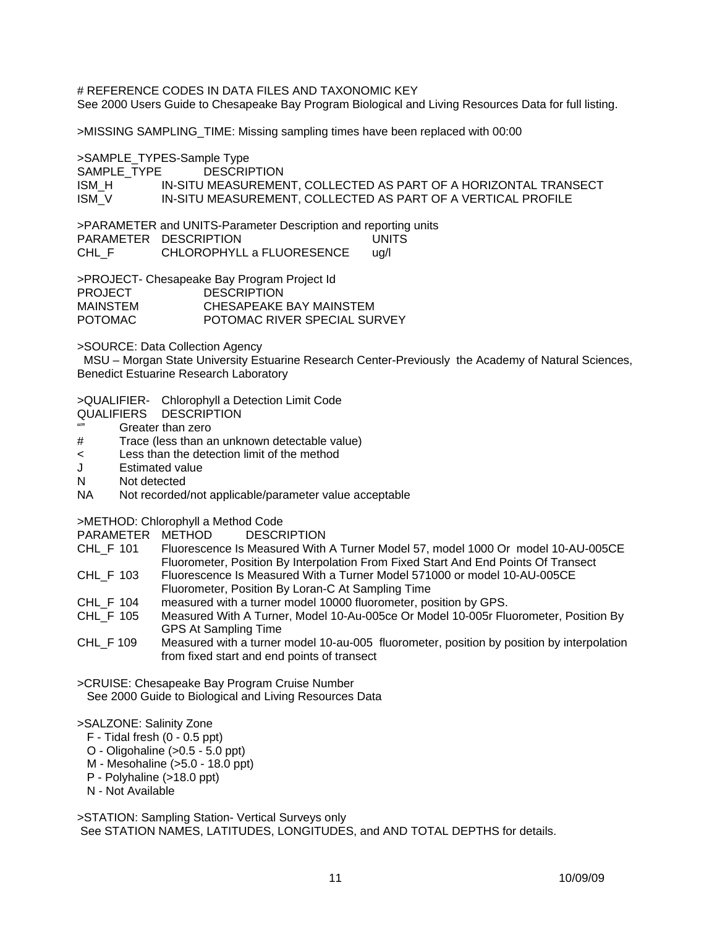# REFERENCE CODES IN DATA FILES AND TAXONOMIC KEY See 2000 Users Guide to Chesapeake Bay Program Biological and Living Resources Data for full listing.

>MISSING SAMPLING\_TIME: Missing sampling times have been replaced with 00:00

>SAMPLE\_TYPES-Sample Type

SAMPLE TYPE DESCRIPTION

ISM\_H IN-SITU MEASUREMENT, COLLECTED AS PART OF A HORIZONTAL TRANSECT ISM\_V IN-SITU MEASUREMENT, COLLECTED AS PART OF A VERTICAL PROFILE

>PARAMETER and UNITS-Parameter Description and reporting units PARAMETER DESCRIPTION UNITS<br>CHL F CHLOROPHYLL a FLUORESENCE ug/l CHLOROPHYLL a FLUORESENCE ug/l

>PROJECT- Chesapeake Bay Program Project Id PROJECT DESCRIPTION MAINSTEM CHESAPEAKE BAY MAINSTEM POTOMAC POTOMAC RIVER SPECIAL SURVEY

>SOURCE: Data Collection Agency

 MSU – Morgan State University Estuarine Research Center-Previously the Academy of Natural Sciences, Benedict Estuarine Research Laboratory

>QUALIFIER- Chlorophyll a Detection Limit Code

- QUALIFIERS DESCRIPTION
- "" Greater than zero
- # Trace (less than an unknown detectable value)
- < Less than the detection limit of the method
- J Estimated value
- N Not detected
- NA Not recorded/not applicable/parameter value acceptable

>METHOD: Chlorophyll a Method Code

PARAMETER METHOD DESCRIPTION

- CHL\_F 101 Fluorescence Is Measured With A Turner Model 57, model 1000 Or model 10-AU-005CE Fluorometer, Position By Interpolation From Fixed Start And End Points Of Transect
- CHL\_F 103 Fluorescence Is Measured With a Turner Model 571000 or model 10-AU-005CE Fluorometer, Position By Loran-C At Sampling Time
- CHL\_F 104 measured with a turner model 10000 fluorometer, position by GPS.
- CHL\_F 105 Measured With A Turner, Model 10-Au-005ce Or Model 10-005r Fluorometer, Position By GPS At Sampling Time
- CHL F 109 Measured with a turner model 10-au-005 fluorometer, position by position by interpolation from fixed start and end points of transect

>CRUISE: Chesapeake Bay Program Cruise Number See 2000 Guide to Biological and Living Resources Data

## >SALZONE: Salinity Zone

- F Tidal fresh (0 0.5 ppt)
- O Oligohaline (>0.5 5.0 ppt)
- M Mesohaline (>5.0 18.0 ppt)
- P Polyhaline (>18.0 ppt)
- N Not Available

>STATION: Sampling Station- Vertical Surveys only See STATION NAMES, LATITUDES, LONGITUDES, and AND TOTAL DEPTHS for details.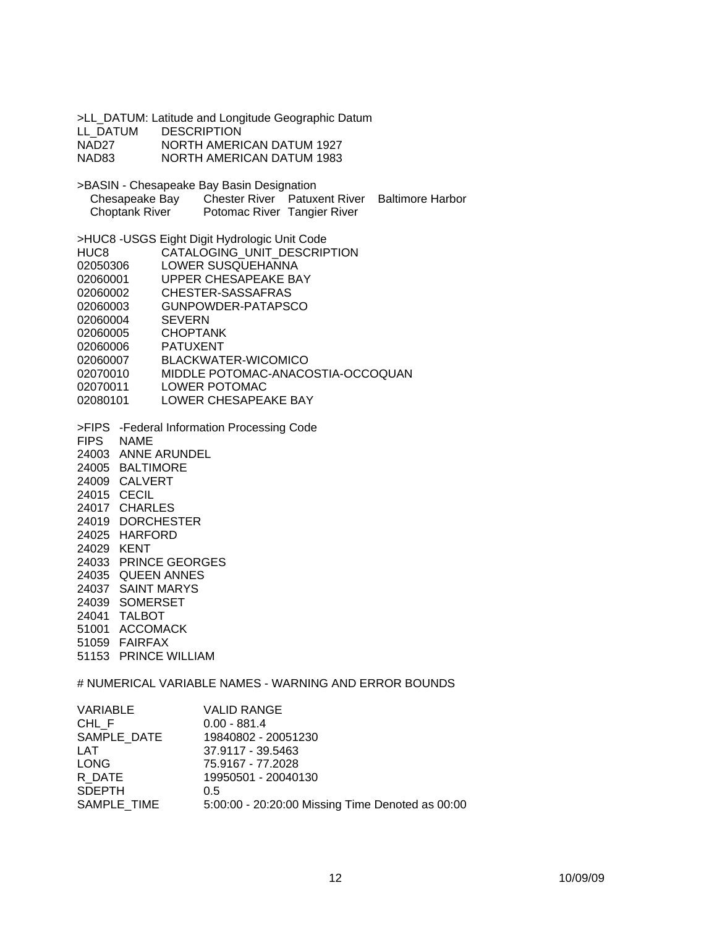>LL\_DATUM: Latitude and Longitude Geographic Datum LL\_DATUM DESCRIPTION NAD27 NORTH AMERICAN DATUM 1927 NAD83 NORTH AMERICAN DATUM 1983 >BASIN - Chesapeake Bay Basin Designation Chesapeake Bay Chester River Patuxent River Baltimore Harbor<br>Choptank River Potomac River Tangier River Potomac River Tangier River >HUC8 -USGS Eight Digit Hydrologic Unit Code HUC8 CATALOGING UNIT DESCRIPTION 02050306 LOWER SUSQUEHANNA 02060001 UPPER CHESAPEAKE BAY 02060002 CHESTER-SASSAFRAS 02060003 GUNPOWDER-PATAPSCO 02060004 SEVERN 02060005 CHOPTANK 02060006 PATUXENT 02060007 BLACKWATER-WICOMICO 02070010 MIDDLE POTOMAC-ANACOSTIA-OCCOQUAN 02070011 LOWER POTOMAC 02080101 LOWER CHESAPEAKE BAY >FIPS -Federal Information Processing Code FIPS NAME 24003 ANNE ARUNDEL 24005 BALTIMORE 24009 CALVERT 24015 CECIL 24017 CHARLES 24019 DORCHESTER 24025 HARFORD 24029 KENT 24033 PRINCE GEORGES 24035 QUEEN ANNES 24037 SAINT MARYS 24039 SOMERSET 24041 TALBOT 51001 ACCOMACK 51059 FAIRFAX 51153 PRINCE WILLIAM # NUMERICAL VARIABLE NAMES - WARNING AND ERROR BOUNDS

| CHL F<br>$0.00 - 881.4$<br>SAMPLE DATE<br>19840802 - 20051230<br><b>LAT</b><br>37.9117 - 39.5463<br><b>LONG</b><br>75.9167 - 77.2028<br>R DATE<br>19950501 - 20040130<br><b>SDEPTH</b><br>0.5<br>SAMPLE TIME | VARIABLE | <b>VALID RANGE</b>                               |
|--------------------------------------------------------------------------------------------------------------------------------------------------------------------------------------------------------------|----------|--------------------------------------------------|
|                                                                                                                                                                                                              |          |                                                  |
|                                                                                                                                                                                                              |          |                                                  |
|                                                                                                                                                                                                              |          |                                                  |
|                                                                                                                                                                                                              |          |                                                  |
|                                                                                                                                                                                                              |          |                                                  |
|                                                                                                                                                                                                              |          |                                                  |
|                                                                                                                                                                                                              |          | 5:00:00 - 20:20:00 Missing Time Denoted as 00:00 |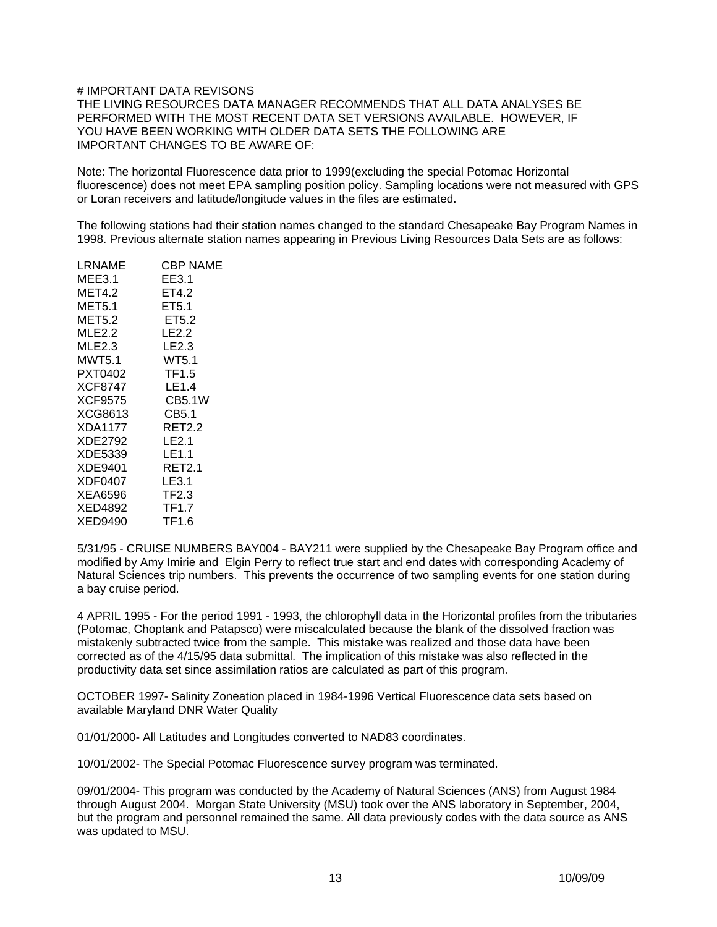#### # IMPORTANT DATA REVISONS

THE LIVING RESOURCES DATA MANAGER RECOMMENDS THAT ALL DATA ANALYSES BE PERFORMED WITH THE MOST RECENT DATA SET VERSIONS AVAILABLE. HOWEVER, IF YOU HAVE BEEN WORKING WITH OLDER DATA SETS THE FOLLOWING ARE IMPORTANT CHANGES TO BE AWARE OF:

Note: The horizontal Fluorescence data prior to 1999(excluding the special Potomac Horizontal fluorescence) does not meet EPA sampling position policy. Sampling locations were not measured with GPS or Loran receivers and latitude/longitude values in the files are estimated.

The following stations had their station names changed to the standard Chesapeake Bay Program Names in 1998. Previous alternate station names appearing in Previous Living Resources Data Sets are as follows:

| LRNAME  | CBP NAME          |
|---------|-------------------|
| MEE3.1  | EE3.1             |
| MET4.2  | ET4.2             |
| MET5.1  | ET5.1             |
| MET5.2  | ET5.2             |
| MLE2.2  | LE <sub>2.2</sub> |
| MLE2.3  | LE2.3             |
| MWT5.1  | WT5.1             |
| PXT0402 | TF1.5             |
| XCF8747 | LE1.4             |
| XCF9575 | <b>CB5.1W</b>     |
| XCG8613 | CB5.1             |
| XDA1177 | RET2.2            |
| XDE2792 | LE2.1             |
| XDE5339 | LE1.1             |
| XDE9401 | RET2.1            |
| XDF0407 | LE3.1             |
| XEA6596 | TF2.3             |
| XED4892 | <b>TF1.7</b>      |
| XED9490 | TF1.6             |

5/31/95 - CRUISE NUMBERS BAY004 - BAY211 were supplied by the Chesapeake Bay Program office and modified by Amy Imirie and Elgin Perry to reflect true start and end dates with corresponding Academy of Natural Sciences trip numbers. This prevents the occurrence of two sampling events for one station during a bay cruise period.

4 APRIL 1995 - For the period 1991 - 1993, the chlorophyll data in the Horizontal profiles from the tributaries (Potomac, Choptank and Patapsco) were miscalculated because the blank of the dissolved fraction was mistakenly subtracted twice from the sample. This mistake was realized and those data have been corrected as of the 4/15/95 data submittal. The implication of this mistake was also reflected in the productivity data set since assimilation ratios are calculated as part of this program.

OCTOBER 1997- Salinity Zoneation placed in 1984-1996 Vertical Fluorescence data sets based on available Maryland DNR Water Quality

01/01/2000- All Latitudes and Longitudes converted to NAD83 coordinates.

10/01/2002- The Special Potomac Fluorescence survey program was terminated.

09/01/2004- This program was conducted by the Academy of Natural Sciences (ANS) from August 1984 through August 2004. Morgan State University (MSU) took over the ANS laboratory in September, 2004, but the program and personnel remained the same. All data previously codes with the data source as ANS was updated to MSU.